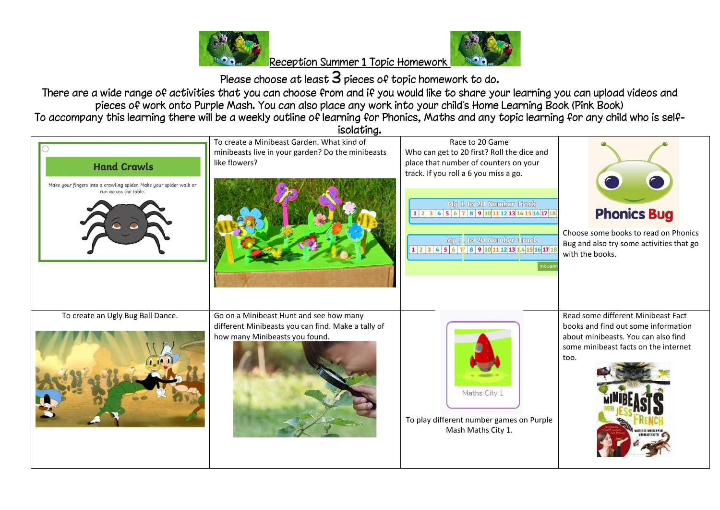

Please choose at least  $3$  pieces of topic homework to do.

There are a wide range of activities that you can choose from and if you would like to share your learning you can upload videos and pieces of work onto Purple Mash. You can also place any work into your child's Home Learning Book (Pink Book) To accompany this learning there will be a weekly outline of learning for Phonics, Maths and any topic learning for any child who is self-

isolating. To create a Minibeast Garden. What kind of Race to 20 Game minibeasts live in your garden? Do the minibeasts Who can get to 20 first? Roll the dice and like flowers? place that number of counters on your **Hand Crawls** track. If you roll a 6 you miss a go. Make your fingers into a crawling spider. Make your spider walk or run across the table. Mu 1 to 20 Number Track **Phonics Bug**  $1|2|3|4|5|6|7|8|9|10|11|12|13|14|15|16|17|18$ Choose some books to read on Phonics My 1 to 20 Number Track Bug and also try some activities that go  $1|2|3|4|5|6|7|8|9|10|11|12|13|4|15|16|17|18$ with the books. To create an Ugly Bug Ball Dance. Go on a Minibeast Hunt and see how many Read some different Minibeast Fact different Minibeasts you can find. Make a tally of books and find out some information how many Minibeasts you found. about minibeasts. You can also find some minibeast facts on the internet too.Maths City 1 To play different number games on Purple Mash Maths City 1.